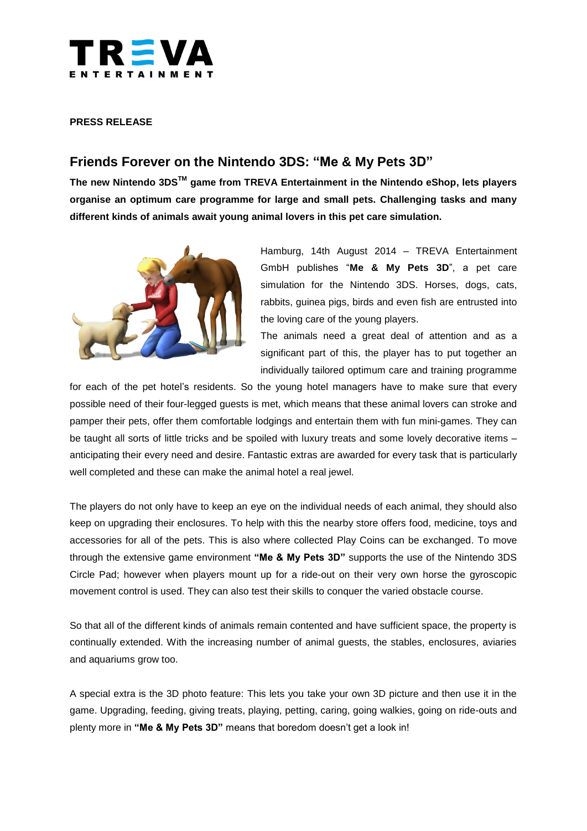

# **PRESS RELEASE**

# **Friends Forever on the Nintendo 3DS: "Me & My Pets 3D"**

**The new Nintendo 3DSTM game from TREVA Entertainment in the Nintendo eShop, lets players organise an optimum care programme for large and small pets. Challenging tasks and many different kinds of animals await young animal lovers in this pet care simulation.**



Hamburg, 14th August 2014 – TREVA Entertainment GmbH publishes "**Me & My Pets 3D**", a pet care simulation for the Nintendo 3DS. Horses, dogs, cats, rabbits, guinea pigs, birds and even fish are entrusted into the loving care of the young players.

The animals need a great deal of attention and as a significant part of this, the player has to put together an individually tailored optimum care and training programme

for each of the pet hotel's residents. So the young hotel managers have to make sure that every possible need of their four-legged guests is met, which means that these animal lovers can stroke and pamper their pets, offer them comfortable lodgings and entertain them with fun mini-games. They can be taught all sorts of little tricks and be spoiled with luxury treats and some lovely decorative items – anticipating their every need and desire. Fantastic extras are awarded for every task that is particularly well completed and these can make the animal hotel a real jewel.

The players do not only have to keep an eye on the individual needs of each animal, they should also keep on upgrading their enclosures. To help with this the nearby store offers food, medicine, toys and accessories for all of the pets. This is also where collected Play Coins can be exchanged. To move through the extensive game environment **"Me & My Pets 3D"** supports the use of the Nintendo 3DS Circle Pad; however when players mount up for a ride-out on their very own horse the gyroscopic movement control is used. They can also test their skills to conquer the varied obstacle course.

So that all of the different kinds of animals remain contented and have sufficient space, the property is continually extended. With the increasing number of animal guests, the stables, enclosures, aviaries and aquariums grow too.

A special extra is the 3D photo feature: This lets you take your own 3D picture and then use it in the game. Upgrading, feeding, giving treats, playing, petting, caring, going walkies, going on ride-outs and plenty more in **"Me & My Pets 3D"** means that boredom doesn't get a look in!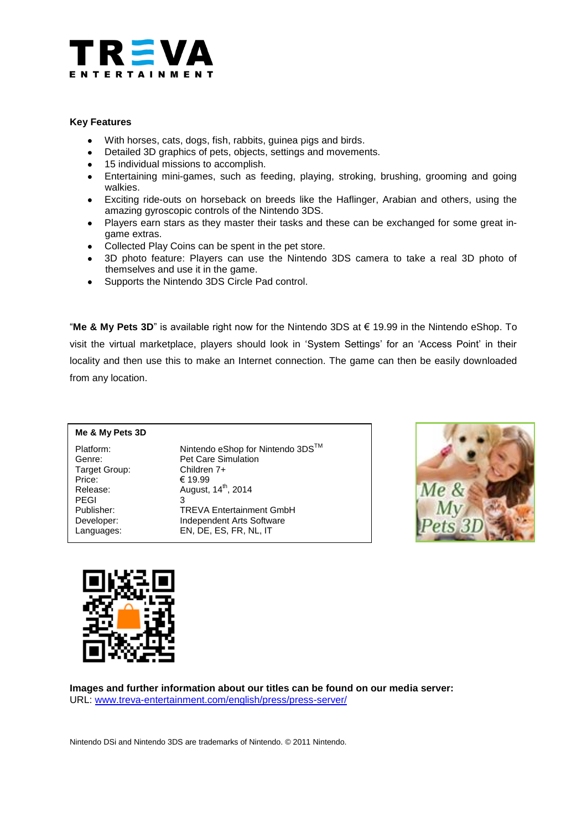

# **Key Features**

- With horses, cats, dogs, fish, rabbits, guinea pigs and birds.  $\bullet$
- Detailed 3D graphics of pets, objects, settings and movements.
- 15 individual missions to accomplish.
- $\bullet$ Entertaining mini-games, such as feeding, playing, stroking, brushing, grooming and going walkies.
- Exciting ride-outs on horseback on breeds like the Haflinger, Arabian and others, using the amazing gyroscopic controls of the Nintendo 3DS.
- Players earn stars as they master their tasks and these can be exchanged for some great ingame extras.
- Collected Play Coins can be spent in the pet store.
- 3D photo feature: Players can use the Nintendo 3DS camera to take a real 3D photo of themselves and use it in the game.
- Supports the Nintendo 3DS Circle Pad control.

"**Me & My Pets 3D**" is available right now for the Nintendo 3DS at € 19.99 in the Nintendo eShop. To visit the virtual marketplace, players should look in 'System Settings' for an 'Access Point' in their locality and then use this to make an Internet connection. The game can then be easily downloaded from any location.

# **Me & My Pets 3D**

Target Group:<br>Price: PEGI 3

Platform: Nintendo eShop for Nintendo 3DS<sup>™</sup> Genre: Pet Care Simulation<br>
Target Group: Children 7+ € 19.99 Release: August, 14<sup>th</sup>, 2014 Publisher: TREVA Entertainment GmbH Developer: Independent Arts Software Languages: EN, DE, ES, FR, NL, IT





**Images and further information about our titles can be found on our media server:** URL: [www.treva-entertainment.com/english/press/press-server/](http://www.treva-entertainment.com/english/press/press-server/)

Nintendo DSi and Nintendo 3DS are trademarks of Nintendo. © 2011 Nintendo.